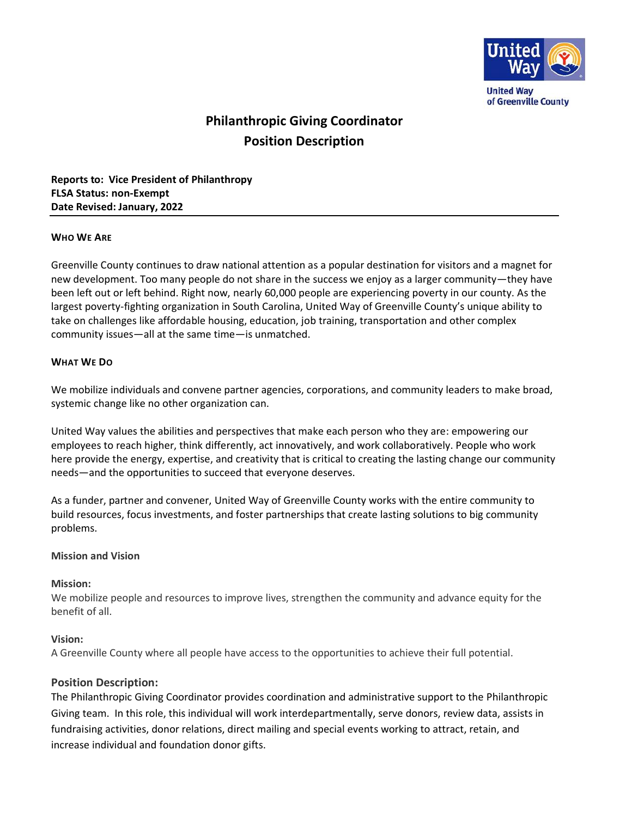

**United Way** of Greenville County

# **Philanthropic Giving Coordinator Position Description**

**Reports to: Vice President of Philanthropy FLSA Status: non-Exempt Date Revised: January, 2022**

#### **WHO WE ARE**

Greenville County continues to draw national attention as a popular destination for visitors and a magnet for new development. Too many people do not share in the success we enjoy as a larger community—they have been left out or left behind. Right now, nearly 60,000 people are experiencing poverty in our county. As the largest poverty-fighting organization in South Carolina, United Way of Greenville County's unique ability to take on challenges like affordable housing, education, job training, transportation and other complex community issues—all at the same time—is unmatched.

## **WHAT WE DO**

We mobilize individuals and convene partner agencies, corporations, and community leaders to make broad, systemic change like no other organization can.

United Way values the abilities and perspectives that make each person who they are: empowering our employees to reach higher, think differently, act innovatively, and work collaboratively. People who work here provide the energy, expertise, and creativity that is critical to creating the lasting change our community needs—and the opportunities to succeed that everyone deserves.

As a funder, partner and convener, United Way of Greenville County works with the entire community to build resources, focus investments, and foster partnerships that create lasting solutions to big community problems.

## **Mission and Vision**

#### **Mission:**

We mobilize people and resources to improve lives, strengthen the community and advance equity for the benefit of all.

## **Vision:**

A Greenville County where all people have access to the opportunities to achieve their full potential.

## **Position Description:**

The Philanthropic Giving Coordinator provides coordination and administrative support to the Philanthropic Giving team. In this role, this individual will work interdepartmentally, serve donors, review data, assists in fundraising activities, donor relations, direct mailing and special events working to attract, retain, and increase individual and foundation donor gifts.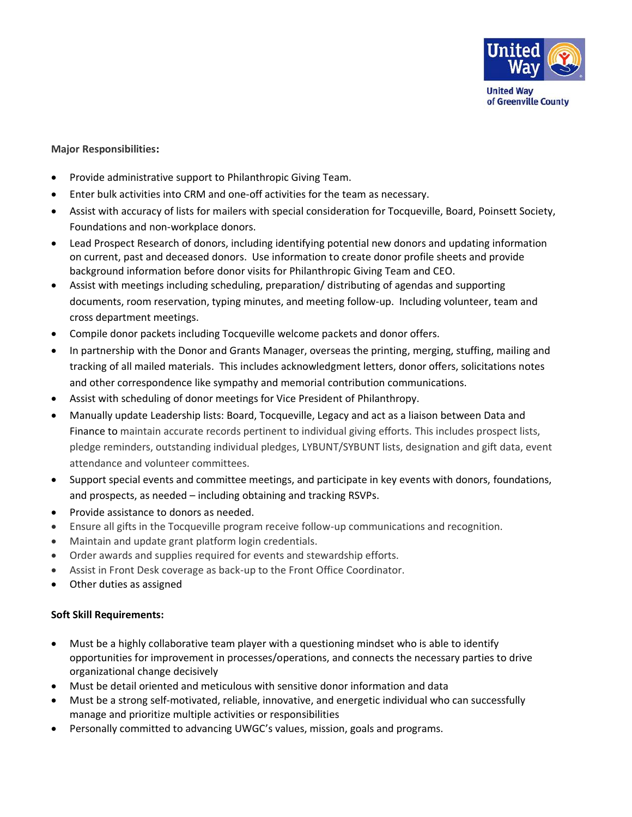

#### **Major Responsibilities:**

- Provide administrative support to Philanthropic Giving Team.
- Enter bulk activities into CRM and one-off activities for the team as necessary.
- Assist with accuracy of lists for mailers with special consideration for Tocqueville, Board, Poinsett Society, Foundations and non-workplace donors.
- Lead Prospect Research of donors, including identifying potential new donors and updating information on current, past and deceased donors. Use information to create donor profile sheets and provide background information before donor visits for Philanthropic Giving Team and CEO.
- Assist with meetings including scheduling, preparation/ distributing of agendas and supporting documents, room reservation, typing minutes, and meeting follow-up. Including volunteer, team and cross department meetings.
- Compile donor packets including Tocqueville welcome packets and donor offers.
- In partnership with the Donor and Grants Manager, overseas the printing, merging, stuffing, mailing and tracking of all mailed materials. This includes acknowledgment letters, donor offers, solicitations notes and other correspondence like sympathy and memorial contribution communications.
- Assist with scheduling of donor meetings for Vice President of Philanthropy.
- Manually update Leadership lists: Board, Tocqueville, Legacy and act as a liaison between Data and Finance to maintain accurate records pertinent to individual giving efforts. This includes prospect lists, pledge reminders, outstanding individual pledges, LYBUNT/SYBUNT lists, designation and gift data, event attendance and volunteer committees.
- Support special events and committee meetings, and participate in key events with donors, foundations, and prospects, as needed – including obtaining and tracking RSVPs.
- Provide assistance to donors as needed.
- Ensure all gifts in the Tocqueville program receive follow-up communications and recognition.
- Maintain and update grant platform login credentials.
- Order awards and supplies required for events and stewardship efforts.
- Assist in Front Desk coverage as back-up to the Front Office Coordinator.
- Other duties as assigned

## **Soft Skill Requirements:**

- Must be a highly collaborative team player with a questioning mindset who is able to identify opportunities for improvement in processes/operations, and connects the necessary parties to drive organizational change decisively
- Must be detail oriented and meticulous with sensitive donor information and data
- Must be a strong self-motivated, reliable, innovative, and energetic individual who can successfully manage and prioritize multiple activities or responsibilities
- Personally committed to advancing UWGC's values, mission, goals and programs.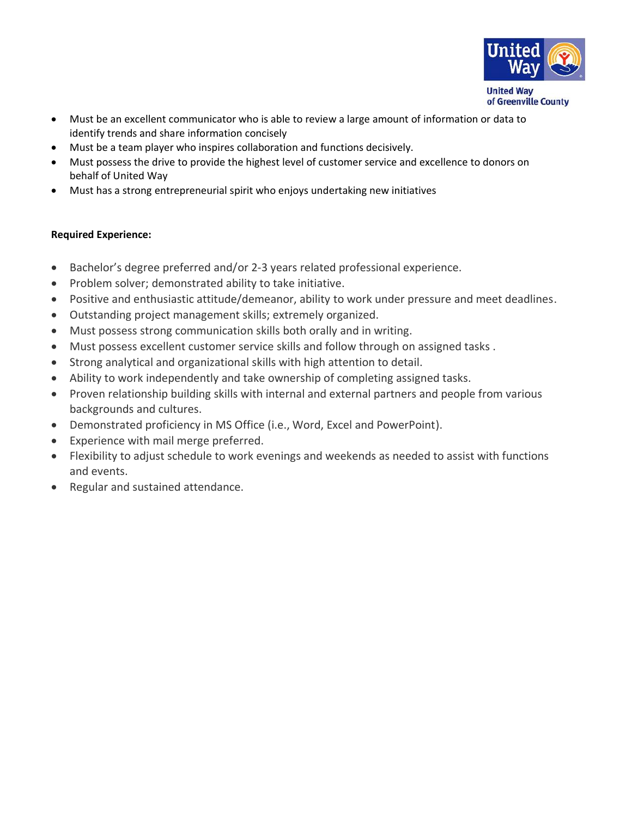

• Must be an excellent communicator who is able to review a large amount of information or data to identify trends and share information concisely

- Must be a team player who inspires collaboration and functions decisively.
- Must possess the drive to provide the highest level of customer service and excellence to donors on behalf of United Way
- Must has a strong entrepreneurial spirit who enjoys undertaking new initiatives

# **Required Experience:**

- Bachelor's degree preferred and/or 2-3 years related professional experience.
- Problem solver; demonstrated ability to take initiative.
- Positive and enthusiastic attitude/demeanor, ability to work under pressure and meet deadlines.
- Outstanding project management skills; extremely organized.
- Must possess strong communication skills both orally and in writing.
- Must possess excellent customer service skills and follow through on assigned tasks .
- Strong analytical and organizational skills with high attention to detail.
- Ability to work independently and take ownership of completing assigned tasks.
- Proven relationship building skills with internal and external partners and people from various backgrounds and cultures.
- Demonstrated proficiency in MS Office (i.e., Word, Excel and PowerPoint).
- Experience with mail merge preferred.
- Flexibility to adjust schedule to work evenings and weekends as needed to assist with functions and events.
- Regular and sustained attendance.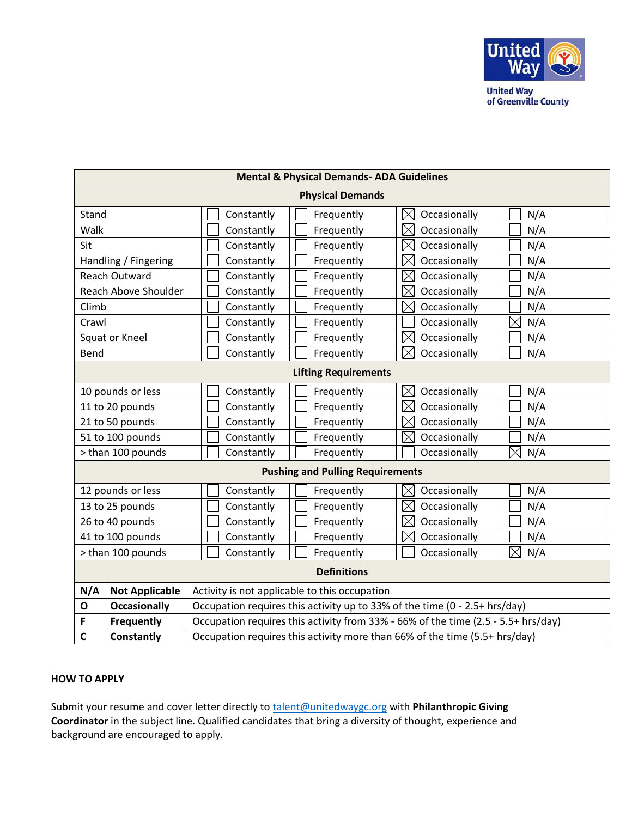

**United Way** of Greenville County

| <b>Mental &amp; Physical Demands- ADA Guidelines</b> |                       |                                                                                   |            |                             |                    |
|------------------------------------------------------|-----------------------|-----------------------------------------------------------------------------------|------------|-----------------------------|--------------------|
| <b>Physical Demands</b>                              |                       |                                                                                   |            |                             |                    |
| Stand                                                |                       | Constantly                                                                        | Frequently | $\boxtimes$<br>Occasionally | N/A                |
| Walk                                                 |                       | Constantly                                                                        | Frequently | $\boxtimes$<br>Occasionally | N/A                |
| Sit                                                  |                       | Constantly                                                                        | Frequently | $\boxtimes$<br>Occasionally | N/A                |
| Handling / Fingering                                 |                       | Constantly                                                                        | Frequently | $\boxtimes$<br>Occasionally | N/A                |
| Reach Outward                                        |                       | Constantly                                                                        | Frequently | $\boxtimes$<br>Occasionally | N/A                |
| Reach Above Shoulder                                 |                       | Constantly                                                                        | Frequently | $\boxtimes$<br>Occasionally | N/A                |
| Climb                                                |                       | Constantly                                                                        | Frequently | $\boxtimes$<br>Occasionally | N/A                |
| Crawl                                                |                       | Constantly                                                                        | Frequently | Occasionally                | $\boxtimes$<br>N/A |
| Squat or Kneel                                       |                       | Constantly                                                                        | Frequently | $\boxtimes$<br>Occasionally | N/A                |
| Bend                                                 |                       | Constantly                                                                        | Frequently | $\boxtimes$<br>Occasionally | N/A                |
| <b>Lifting Requirements</b>                          |                       |                                                                                   |            |                             |                    |
| 10 pounds or less                                    |                       | Constantly                                                                        | Frequently | $\boxtimes$<br>Occasionally | N/A                |
| 11 to 20 pounds                                      |                       | Constantly                                                                        | Frequently | Occasionally<br>IX          | N/A                |
| 21 to 50 pounds                                      |                       | Constantly                                                                        | Frequently | $\boxtimes$<br>Occasionally | N/A                |
| 51 to 100 pounds                                     |                       | Constantly                                                                        | Frequently | $\boxtimes$<br>Occasionally | N/A                |
| > than 100 pounds                                    |                       | Constantly                                                                        | Frequently | Occasionally                | $\boxtimes$<br>N/A |
| <b>Pushing and Pulling Requirements</b>              |                       |                                                                                   |            |                             |                    |
| 12 pounds or less                                    |                       | Constantly                                                                        | Frequently | $\boxtimes$<br>Occasionally | N/A                |
| 13 to 25 pounds                                      |                       | Constantly                                                                        | Frequently | $\boxtimes$<br>Occasionally | N/A                |
| 26 to 40 pounds                                      |                       | Constantly                                                                        | Frequently | $\boxtimes$<br>Occasionally | N/A                |
| 41 to 100 pounds                                     |                       | Constantly                                                                        | Frequently | $\boxtimes$<br>Occasionally | N/A                |
| > than 100 pounds                                    |                       | Constantly                                                                        | Frequently | Occasionally                | IX<br>N/A          |
| <b>Definitions</b>                                   |                       |                                                                                   |            |                             |                    |
| N/A                                                  | <b>Not Applicable</b> | Activity is not applicable to this occupation                                     |            |                             |                    |
| O                                                    | <b>Occasionally</b>   | Occupation requires this activity up to 33% of the time (0 - 2.5+ hrs/day)        |            |                             |                    |
| F                                                    | <b>Frequently</b>     | Occupation requires this activity from 33% - 66% of the time (2.5 - 5.5+ hrs/day) |            |                             |                    |
| $\mathbf c$                                          | <b>Constantly</b>     | Occupation requires this activity more than 66% of the time (5.5+ hrs/day)        |            |                             |                    |

# **HOW TO APPLY**

Submit your resume and cover letter directly to **talent@unitedwaygc.org** with **Philanthropic Giving Coordinator** in the subject line. Qualified candidates that bring a diversity of thought, experience and background are encouraged to apply.